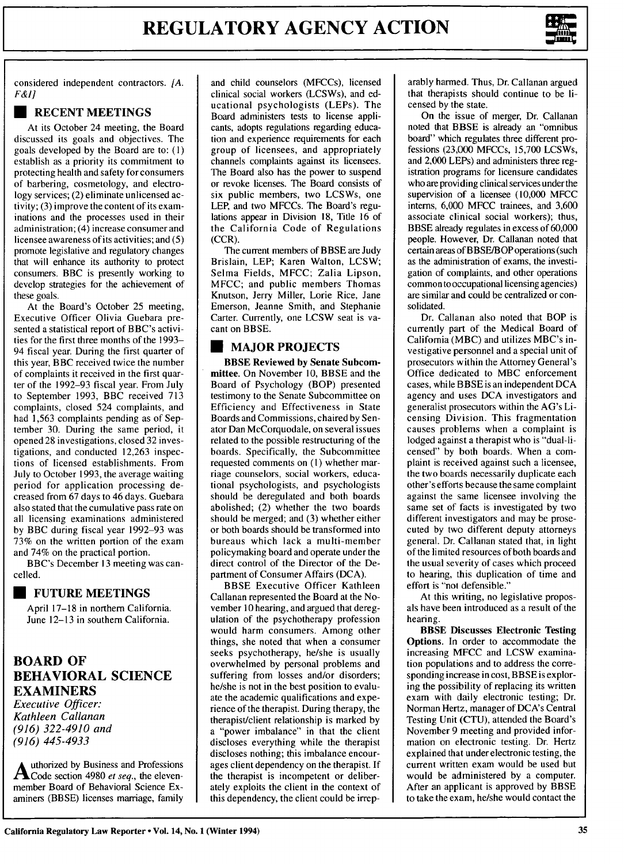

considered independent contractors. *[A. F&I]*

# **U RECENT MEETINGS**

At its October 24 meeting, the Board discussed its goals and objectives. The goals developed **by** the Board are to: **(1)** establish as a priority its commitment to protecting health and safety for consumers of barbering, cosmetology, and electrology services; (2) eliminate unlicensed activity; (3) improve the content of its examinations and the processes used in their administration; (4) increase consumer and licensee awareness of its activities; and (5) promote legislative and regulatory changes that will enhance its authority to protect consumers. BBC is presently working to develop strategies for the achievement of these goals.

At the Board's October 25 meeting, Executive Officer Olivia Guebara presented a statistical report of BBC's activities for the first three months of the 1993- 94 fiscal year. During the first quarter of this year, BBC received twice the number of complaints it received in the first quarter of the 1992-93 fiscal year. From July to September 1993, BBC received 713 complaints, closed 524 complaints, and had 1,563 complaints pending as of September 30. During the same period, it opened 28 investigations, closed 32 investigations, and conducted 12,263 inspections of licensed establishments. From July to October 1993, the average waiting period for application processing decreased from 67 days to 46 days. Guebara also stated that the cumulative pass rate on all licensing examinations administered by BBC during fiscal year 1992-93 was 73% on the written portion of the exam and 74% on the practical portion.

BBC's December 13 meeting was cancelled.

#### **U FUTURE MEETINGS**

April **17-18** in northern California. June **12-13** in southern California.

# **BOARD OF BEHAVIORAL SCIENCE EXAMINERS**

*Executive Officer: Kathleen Callanan (916) 322-4910 and (916) 445-4933*

**Authorized by** Business and Professions **Code** section 4980 *et seq.,* the elevenmember Board of Behavioral Science Examiners (BBSE) licenses marriage, family and child counselors (MFCCs), licensed clinical social workers (LCSWs), and educational psychologists (LEPs). The Board administers tests to license applicants, adopts regulations regarding education and experience requirements for each group of licensees, and appropriately channels complaints against its licensees. The Board also has the power to suspend or revoke licenses. The Board consists of six public members, two LCSWs, one LEP, and two MFCCs. The Board's regulations appear in Division 18, Title 16 of the California Code of Regulations (CCR).

The current members of BBSE are Judy Brislain, LEP; Karen Walton, LCSW; Selma Fields, MFCC; Zalia Lipson, MFCC; and public members Thomas Knutson, Jerry Miller, Lorie Rice, Jane Emerson, Jeanne Smith, and Stephanie Carter. Currently, one LCSW seat is vacant on BBSE.

# **\* MAJOR PROJECTS**

BBSE Reviewed **by** Senate Subcommittee. On November **10,** BBSE and the Board of Psychology (BOP) presented testimony to the Senate Subcommittee on Efficiency and Effectiveness in State Boards and Commissions, chaired **by** Senator Dan McCorquodale, on several issues related to the possible restructuring of the boards. Specifically, the Subcommittee requested comments on **(1)** whether marriage counselors, social workers, educational psychologists, and psychologists should be deregulated and both boards abolished; (2) whether the two boards should be merged; and **(3)** whether either or both boards should be transformed into bureaus which lack a multi-member policymaking board and operate under the direct control of the Director of the Department of Consumer Affairs **(DCA).**

BBSE Executive Officer Kathleen Callanan represented the Board at the November **10** hearing, and argued that deregulation of the psychotherapy profession would harm consumers. Among other things, she noted that when a consumer seeks psychotherapy, he/she is usually overwhelmed **by** personal problems and suffering from losses and/or disorders; he/she is not in the best position to evaluate the academic qualifications and experience of the therapist. During therapy, the therapist/client relationship is marked **by** a "power imbalance" in that the client discloses everything while the therapist discloses nothing; this imbalance encourages client dependency on the therapist. **If** the therapist is incompetent or deliberately exploits the client in the context of this dependency, the client could be irreparably harmed. Thus, Dr. Callanan argued that therapists should continue to be licensed by the state.

On the issue of merger, Dr. Callanan noted that BBSE is already an "omnibus board" which regulates three different professions (23,000 MFCCs, 15,700 LCSWs, and **2,000** LEPs) and administers three registration programs for licensure candidates who are providing clinical services under the supervision of a licensee **(10,000** MFCC interns, **6,000** MFCC trainees, and **3,600** associate clinical social workers); thus, BBSE already regulates in excess of **60,000** people. However, Dr. Callanan noted that certain areas of BBSE/BOP operations (such as the administration of exams, the investigation of complaints, and other operations common to occupational licensing agencies) are similar and could be centralized or consolidated.

Dr. Callanan also noted that BOP is currently part of the Medical Board of California (MBC) and utilizes MBC's investigative personnel and a special unit of prosecutors within the Attorney General's Office dedicated to MBC enforcement cases, while BBSE is an independent DCA agency and uses DCA investigators and generalist prosecutors within the AG's Licensing Division. This fragmentation causes problems when a complaint is lodged against a therapist who is "dual-licensed" by both boards. When a complaint is received against such a licensee, the two boards necessarily duplicate each other's efforts because the same complaint against the same licensee involving the same set of facts is investigated by two different investigators and may be prosecuted by two different deputy attorneys general. Dr. Callanan stated that, in light of the limited resources of both boards and the usual severity of cases which proceed to hearing, this duplication of time and effort is "not defensible."

At this writing, no legislative proposals have been introduced as a result of the hearing.

**BBSE Discusses Electronic Testing** Options. In order to accommodate the increasing MFCC and LCSW examination populations and to address the corresponding increase in cost, BBSE is exploring the possibility of replacing its written exam with daily electronic testing; Dr. Norman Hertz, manager of DCA's Central Testing Unit (CTU), attended the Board's November 9 meeting and provided information on electronic testing. Dr. Hertz explained that under electronic testing, the current written exam would be used but would be administered by a computer. After an applicant is approved by BBSE to take the exam, he/she would contact the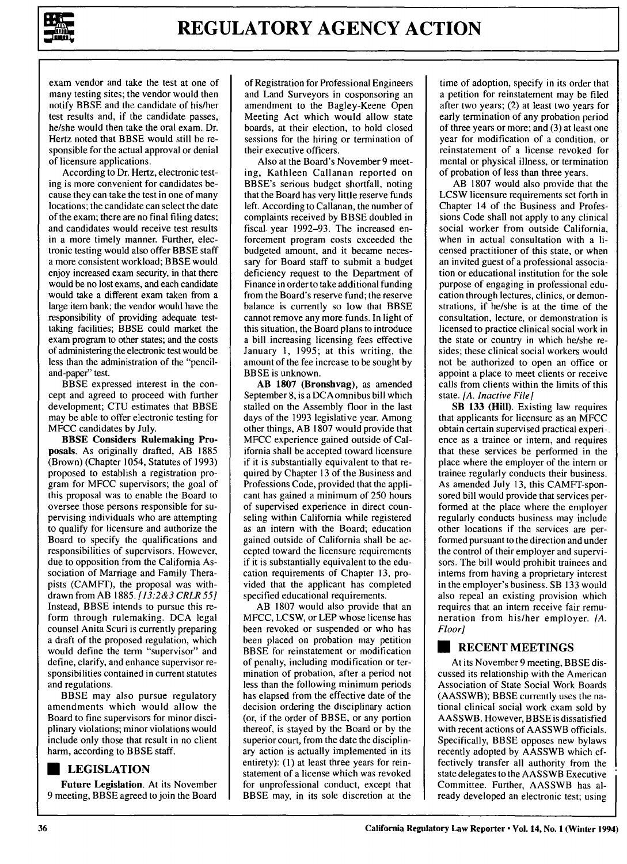

exam vendor and take the test at one of many testing sites; the vendor would then notify BBSE and the candidate of his/her test results and, if the candidate passes, he/she would then take the oral exam. Dr. Hertz noted that BBSE would still be responsible for the actual approval or denial of licensure applications.

According to Dr. Hertz, electronic testing is more convenient for candidates because they can take the test in one of many locations; the candidate can select the date of the exam; there are no final filing dates; and candidates would receive test results in a more timely manner. Further, electronic testing would also offer BBSE staff a more consistent workload; BBSE would enjoy increased exam security, in that there would be no lost exams, and each candidate would take a different exam taken from a large item bank; the vendor would have the responsibility of providing adequate testtaking facilities; BBSE could market the exam program to other states; and the costs of administering the electronic test would be less than the administration of the "penciland-paper" test.

BBSE expressed interest in the concept and agreed to proceed with further development; CTU estimates that BBSE may be able to offer electronic testing for MFCC candidates by July.

BBSE Considers Rulemaking Proposals. As originally drafted, AB 1885 (Brown) (Chapter 1054, Statutes of 1993) proposed to establish a registration program for MFCC supervisors; the goal of this proposal was to enable the Board to oversee those persons responsible for supervising individuals who are attempting to qualify for licensure and authorize the Board to specify the qualifications and responsibilities of supervisors. However, due to opposition from the California Association of Marriage and Family Therapists (CAMFT), the proposal was withdrawn from AB 1885. *[13:2&3 CRLR* **551** Instead, BBSE intends to pursue this reform through rulemaking. DCA legal counsel Anita Scuri is currently preparing a draft of the proposed regulation, which would define the term "supervisor" and define, clarify, and enhance supervisor responsibilities contained in current statutes and regulations.

BBSE may also pursue regulatory amendments which would allow the Board to fine supervisors for minor disciplinary violations; minor violations would include only those that result in no client harm, according to BBSE staff.

#### **U LEGISLATION**

Future Legislation. At its November **9** meeting, BBSE agreed to join the Board of Registration for Professional Engineers and Land Surveyors in cosponsoring an amendment to the Bagley-Keene Open Meeting Act which would allow state boards, at their election, to hold closed sessions for the hiring or termination of their executive officers.

Also at the Board's November 9 meeting, Kathleen Callanan reported on BBSE's serious budget shortfall, noting that the Board has very little reserve funds left. According to Callanan, the number of complaints received by BBSE doubled in fiscal. year 1992-93. The increased enforcement program costs exceeded the budgeted amount, and it became necessary for Board staff to submit a budget deficiency request to the Department of Finance in order to take additional funding from the Board's reserve fund; the reserve balance is currently so low that BBSE cannot remove any more funds. In light of this situation, the Board plans to introduce a bill increasing licensing fees effective January 1, 1995; at this writing, the amount of the fee increase to be sought by BBSE is unknown.

**AB 1807** (Bronshvag), as amended September 8, is a DCA omnibus bill which stalled on the Assembly floor in the last days of the 1993 legislative year. Among other things, AB 1807 would provide that MFCC experience gained outside of California shall be accepted toward licensure if it is substantially equivalent to that required by Chapter 13 of the Business and Professions Code, provided that the applicant has gained a minimum of 250 hours of supervised experience in direct counseling within California while registered as an intern with the Board; education gained outside of California shall be accepted toward the licensure requirements if it is substantially equivalent to the education requirements of Chapter 13, provided that the applicant has completed specified educational requirements.

AB 1807 would also provide that an MFCC, LCSW, or LEP whose license has been revoked or suspended or who has been placed on probation may petition BBSE for reinstatement or modification of penalty, including modification or termination of probation, after a period not less than the following minimum periods has elapsed from the effective date of the decision ordering the disciplinary action (or, if the order of BBSE, or any portion thereof, is stayed by the Board or by the superior court, from the date the disciplinary action is actually implemented in its entirety): **(1)** at least three years for reinstatement of a license which was revoked for unprofessional conduct, except that BBSE may, in its sole discretion at the

time of adoption, specify in its order that a petition for reinstatement may be filed after two years; (2) at least two years for early termination of any probation period of three years or more; and (3) at least one year for modification of a condition, or reinstatement of a license revoked for mental or physical illness, or termination of probation of less than three years.

AB 1807 would also provide that the LCSW licensure requirements set forth in Chapter 14 of the Business and Professions Code shall not apply to any clinical social worker from outside California, when in actual consultation with a licensed practitioner of this state, or when an invited guest of a professional association or educational institution for the sole purpose of engaging in professional education through lectures, clinics, or demonstrations, if he/she is at the time of the consultation, lecture, or demonstration is licensed to practice clinical social work in the state or country in which he/she resides; these clinical social workers would not be authorized to open an office or appoint a place to meet clients or receive calls from clients within the limits of this state. *[A. Inactive File]*

SB **133** (Hill). Existing law requires that applicants for licensure as an MFCC obtain certain supervised practical experience as a trainee or intern, and requires that these services be performed in the place where the employer of the intern or trainee regularly conducts their business. As amended July 13, this CAMFT-sponsored bill would provide that services performed at the place where the employer regularly conducts business may include other locations if the services are performed pursuant to the direction and under the control of their employer and supervisors. The bill would prohibit trainees and interns from having a proprietary interest in the employer's business. SB 133 would also repeal an existing provision which requires that an intern receive fair remuneration from his/her employer. *[A. Floor]*

#### **\* RECENT MEETINGS**

At its November 9 meeting, BBSE discussed its relationship with the American Association of State Social Work Boards (AASSWB); BBSE currently uses the national clinical social work exam sold by AASSWB. However, BBSE is dissatisfied with recent actions of AASSWB officials. Specifically, BBSE opposes new bylaws recently adopted by AASSWB which effectively transfer all authority from the state delegates to the AASSWB Executive Committee. Further, AASSWB has already developed an electronic test; using